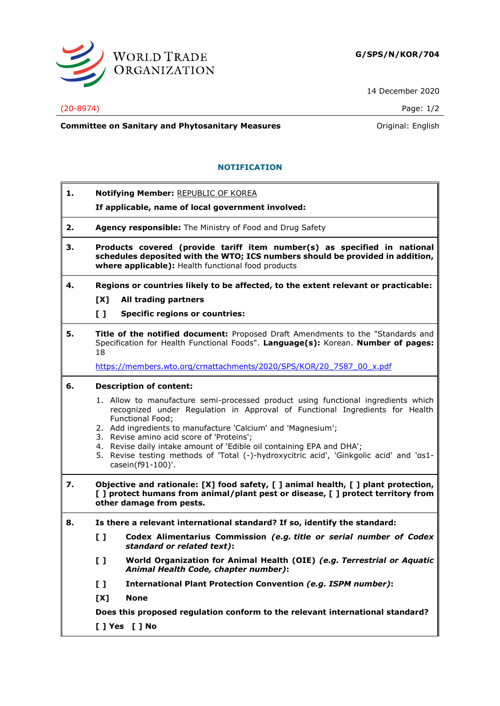

14 December 2020

### (20-8974) Page: 1/2

**Committee on Sanitary and Phytosanitary Measures Committee on Sanitary and Phytosanitary Measures Committee And American** 

## **NOTIFICATION**

| 1. | <b>Notifying Member: REPUBLIC OF KOREA</b> |
|----|--------------------------------------------|
|----|--------------------------------------------|

**If applicable, name of local government involved:**

- **2. Agency responsible:** The Ministry of Food and Drug Safety
- **3. Products covered (provide tariff item number(s) as specified in national schedules deposited with the WTO; ICS numbers should be provided in addition, where applicable):** Health functional food products
- **4. Regions or countries likely to be affected, to the extent relevant or practicable: [X] All trading partners**
	-
	- **[ ] Specific regions or countries:**
- **5. Title of the notified document:** Proposed Draft Amendments to the "Standards and Specification for Health Functional Foods". **Language(s):** Korean. **Number of pages:** 18

[https://members.wto.org/crnattachments/2020/SPS/KOR/20\\_7587\\_00\\_x.pdf](https://members.wto.org/crnattachments/2020/SPS/KOR/20_7587_00_x.pdf)

## **6. Description of content:**

- 1. Allow to manufacture semi-processed product using functional ingredients which recognized under Regulation in Approval of Functional Ingredients for Health Functional Food;
- 2. Add ingredients to manufacture 'Calcium' and 'Magnesium';
- 3. Revise amino acid score of 'Proteins';
- 4. Revise daily intake amount of 'Edible oil containing EPA and DHA';
- 5. Revise testing methods of 'Total (-)-hydroxycitric acid', 'Ginkgolic acid' and 'αs1 casein(f91-100)'.
- **7. Objective and rationale: [X] food safety, [ ] animal health, [ ] plant protection, [ ] protect humans from animal/plant pest or disease, [ ] protect territory from other damage from pests.**
- **8. Is there a relevant international standard? If so, identify the standard:**
	- **[ ] Codex Alimentarius Commission** *(e.g. title or serial number of Codex standard or related text)***:**
	- **[ ] World Organization for Animal Health (OIE)** *(e.g. Terrestrial or Aquatic Animal Health Code, chapter number)***:**
	- **[ ] International Plant Protection Convention** *(e.g. ISPM number)***:**
	- **[X] None**

**Does this proposed regulation conform to the relevant international standard?** 

**[ ] Yes [ ] No**